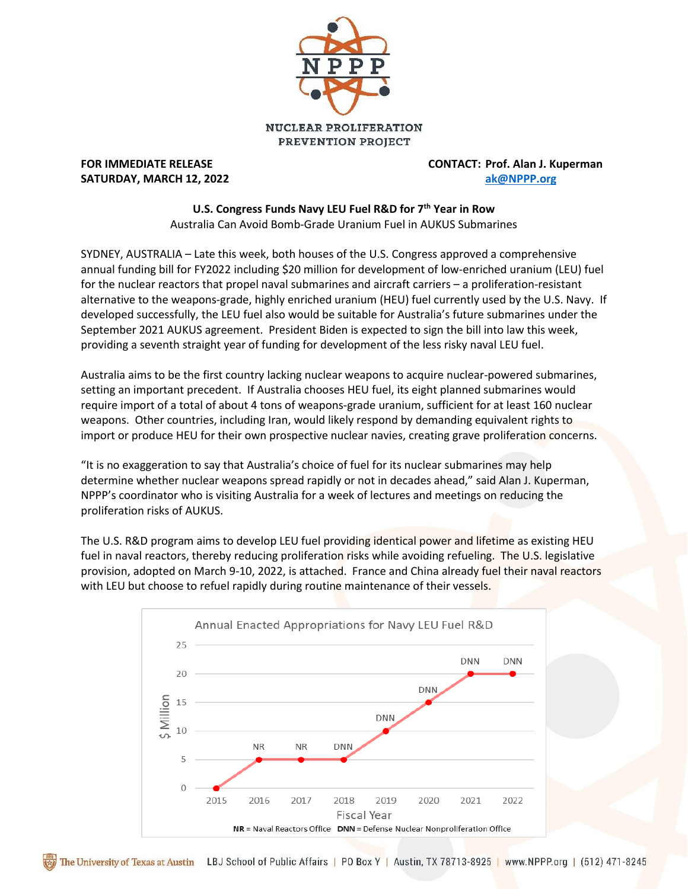

## **SATURDAY, MARCH 12, 2022 [ak@NPPP.org](mailto:ak@NPPP.org)**

**FOR IMMEDIATE RELEASE CONTACT: Prof. Alan J. Kuperman**

## **U.S. Congress Funds Navy LEU Fuel R&D for 7 th Year in Row**

Australia Can Avoid Bomb-Grade Uranium Fuel in AUKUS Submarines

SYDNEY, AUSTRALIA – Late this week, both houses of the U.S. Congress approved a comprehensive annual funding bill for FY2022 including \$20 million for development of low-enriched uranium (LEU) fuel for the nuclear reactors that propel naval submarines and aircraft carriers – a proliferation-resistant alternative to the weapons-grade, highly enriched uranium (HEU) fuel currently used by the U.S. Navy. If developed successfully, the LEU fuel also would be suitable for Australia's future submarines under the September 2021 AUKUS agreement. President Biden is expected to sign the bill into law this week, providing a seventh straight year of funding for development of the less risky naval LEU fuel.

Australia aims to be the first country lacking nuclear weapons to acquire nuclear-powered submarines, setting an important precedent. If Australia chooses HEU fuel, its eight planned submarines would require import of a total of about 4 tons of weapons-grade uranium, sufficient for at least 160 nuclear weapons. Other countries, including Iran, would likely respond by demanding equivalent rights to import or produce HEU for their own prospective nuclear navies, creating grave proliferation concerns.

"It is no exaggeration to say that Australia's choice of fuel for its nuclear submarines may help determine whether nuclear weapons spread rapidly or not in decades ahead," said Alan J. Kuperman, NPPP's coordinator who is visiting Australia for a week of lectures and meetings on reducing the proliferation risks of AUKUS.

The U.S. R&D program aims to develop LEU fuel providing identical power and lifetime as existing HEU fuel in naval reactors, thereby reducing proliferation risks while avoiding refueling. The U.S. legislative provision, adopted on March 9-10, 2022, is attached. France and China already fuel their naval reactors with LEU but choose to refuel rapidly during routine maintenance of their vessels.